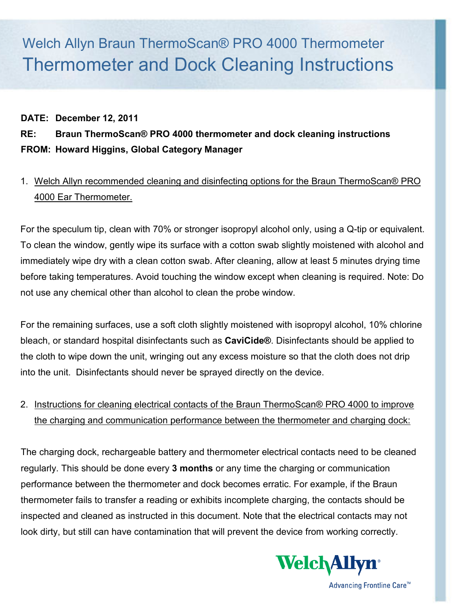# Welch Allyn Braun ThermoScan® PRO 4000 Thermometer Thermometer and Dock Cleaning Instructions

#### **DATE: December 12, 2011**

## **RE: Braun ThermoScan® PRO 4000 thermometer and dock cleaning instructions FROM: Howard Higgins, Global Category Manager**

## 1. Welch Allyn recommended cleaning and disinfecting options for the Braun ThermoScan® PRO 4000 Ear Thermometer.

For the speculum tip, clean with 70% or stronger isopropyl alcohol only, using a Q-tip or equivalent. To clean the window, gently wipe its surface with a cotton swab slightly moistened with alcohol and immediately wipe dry with a clean cotton swab. After cleaning, allow at least 5 minutes drying time before taking temperatures. Avoid touching the window except when cleaning is required. Note: Do not use any chemical other than alcohol to clean the probe window.

For the remaining surfaces, use a soft cloth slightly moistened with isopropyl alcohol, 10% chlorine bleach, or standard hospital disinfectants such as **CaviCide®**. Disinfectants should be applied to the cloth to wipe down the unit, wringing out any excess moisture so that the cloth does not drip into the unit. Disinfectants should never be sprayed directly on the device.

#### 2. Instructions for cleaning electrical contacts of the Braun ThermoScan® PRO 4000 to improve the charging and communication performance between the thermometer and charging dock:

The charging dock, rechargeable battery and thermometer electrical contacts need to be cleaned regularly. This should be done every **3 months** or any time the charging or communication performance between the thermometer and dock becomes erratic. For example, if the Braun thermometer fails to transfer a reading or exhibits incomplete charging, the contacts should be inspected and cleaned as instructed in this document. Note that the electrical contacts may not look dirty, but still can have contamination that will prevent the device from working correctly.



Advancing Frontline Care<sup>™</sup>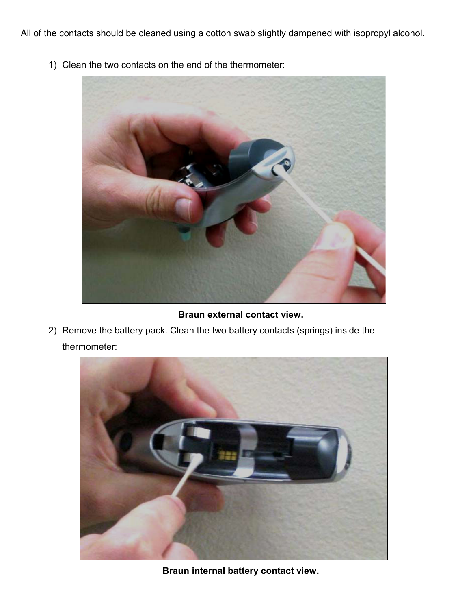All of the contacts should be cleaned using a cotton swab slightly dampened with isopropyl alcohol.



1) Clean the two contacts on the end of the thermometer:

**Braun external contact view.** 

2) Remove the battery pack. Clean the two battery contacts (springs) inside the thermometer:



**Braun internal battery contact view.**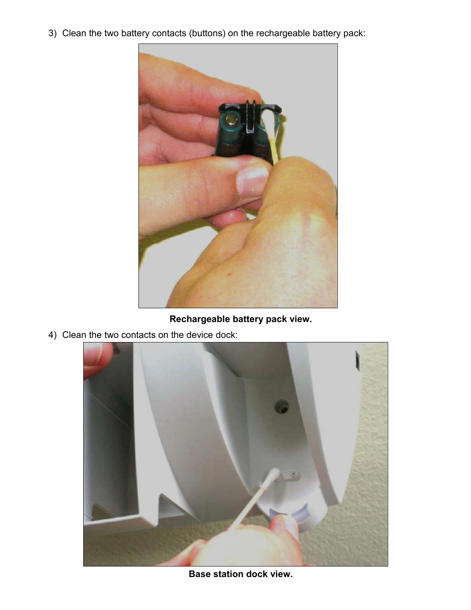3) Clean the two battery contacts (buttons) on the rechargeable battery pack:



**Rechargeable battery pack view.** 

4) Clean the two contacts on the device dock:



**Base station dock view.**